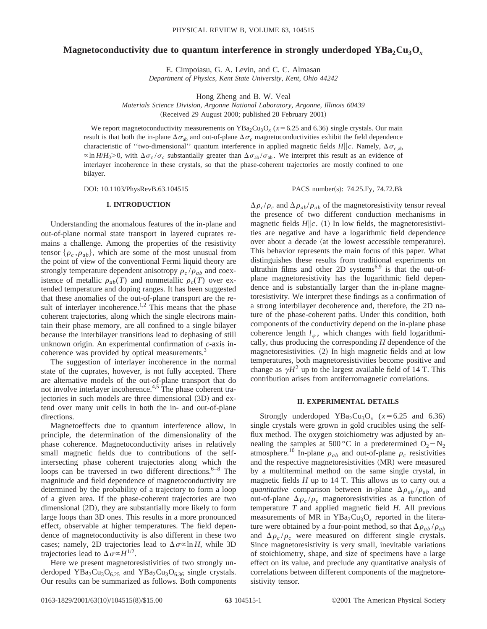# **Magnetoconductivity due to quantum interference in strongly underdoped YBa<sub>2</sub>Cu<sub>3</sub>O<sub>***x***</sub>**

E. Cimpoiasu, G. A. Levin, and C. C. Almasan *Department of Physics, Kent State University, Kent, Ohio 44242*

Hong Zheng and B. W. Veal

*Materials Science Division, Argonne National Laboratory, Argonne, Illinois 60439*

(Received 29 August 2000; published 20 February 2001)

We report magnetoconductivity measurements on  $YBa_2Cu_3O_x$  ( $x=6.25$  and 6.36) single crystals. Our main result is that both the in-plane  $\Delta \sigma_{ab}$  and out-of-plane  $\Delta \sigma_c$  magnetoconductivities exhibit the field dependence characteristic of "two-dimensional" quantum interference in applied magnetic fields  $H||c$ . Namely,  $\Delta \sigma_{c,ab}$  $\alpha$ ln *H*/*H*<sub>0</sub>>0, with  $\Delta \sigma_c / \sigma_c$  substantially greater than  $\Delta \sigma_{ab} / \sigma_{ab}$ . We interpret this result as an evidence of interlayer incoherence in these crystals, so that the phase-coherent trajectories are mostly confined to one bilayer.

DOI: 10.1103/PhysRevB.63.104515 PACS number(s): 74.25.Fy, 74.72.Bk

# **I. INTRODUCTION**

Understanding the anomalous features of the in-plane and out-of-plane normal state transport in layered cuprates remains a challenge. Among the properties of the resistivity tensor  $\{\rho_c, \rho_{ab}\}$ , which are some of the most unusual from the point of view of the conventional Fermi liquid theory are strongly temperature dependent anisotropy  $\rho_c / \rho_{ab}$  and coexistence of metallic  $\rho_{ab}(T)$  and nonmetallic  $\rho_c(T)$  over extended temperature and doping ranges. It has been suggested that these anomalies of the out-of-plane transport are the result of interlayer incoherence.<sup>1,2</sup> This means that the phase coherent trajectories, along which the single electrons maintain their phase memory, are all confined to a single bilayer because the interbilayer transitions lead to dephasing of still unknown origin. An experimental confirmation of *c*-axis incoherence was provided by optical measurements.<sup>3</sup>

The suggestion of interlayer incoherence in the normal state of the cuprates, however, is not fully accepted. There are alternative models of the out-of-plane transport that do not involve interlayer incoherence.<sup>4,5</sup> The phase coherent trajectories in such models are three dimensional  $(3D)$  and extend over many unit cells in both the in- and out-of-plane directions.

Magnetoeffects due to quantum interference allow, in principle, the determination of the dimensionality of the phase coherence. Magnetoconductivity arises in relatively small magnetic fields due to contributions of the selfintersecting phase coherent trajectories along which the loops can be traversed in two different directions. $6-8$  The magnitude and field dependence of magnetoconductivity are determined by the probability of a trajectory to form a loop of a given area. If the phase-coherent trajectories are two dimensional  $(2D)$ , they are substantially more likely to form large loops than 3D ones. This results in a more pronounced effect, observable at higher temperatures. The field dependence of magnetoconductivity is also different in these two cases; namely, 2D trajectories lead to  $\Delta \sigma \propto \ln H$ , while 3D trajectories lead to  $\Delta \sigma \propto H^{1/2}$ .

Here we present magnetoresistivities of two strongly underdoped YBa<sub>2</sub>Cu<sub>3</sub>O<sub>6.25</sub> and YBa<sub>2</sub>Cu<sub>3</sub>O<sub>6.36</sub> single crystals. Our results can be summarized as follows. Both components  $\Delta \rho_c/\rho_c$  and  $\Delta \rho_{ab}/\rho_{ab}$  of the magnetoresistivity tensor reveal the presence of two different conduction mechanisms in magnetic fields  $H\|c$ . (1) In low fields, the magnetoresistivities are negative and have a logarithmic field dependence over about a decade (at the lowest accessible temperature). This behavior represents the main focus of this paper. What distinguishes these results from traditional experiments on ultrathin films and other 2D systems<sup>6,9</sup> is that the out-ofplane magnetoresistivity has the logarithmic field dependence and is substantially larger than the in-plane magnetoresistivity. We interpret these findings as a confirmation of a strong interbilayer decoherence and, therefore, the 2D nature of the phase-coherent paths. Under this condition, both components of the conductivity depend on the in-plane phase coherence length  $l_{\varphi}$ , which changes with field logarithmically, thus producing the corresponding *H* dependence of the magnetoresistivities.  $(2)$  In high magnetic fields and at low temperatures, both magnetoresistivities become positive and change as  $\gamma H^2$  up to the largest available field of 14 T. This contribution arises from antiferromagnetic correlations.

# **II. EXPERIMENTAL DETAILS**

Strongly underdoped YBa<sub>2</sub>Cu<sub>3</sub>O<sub>x</sub> ( $x=6.25$  and 6.36) single crystals were grown in gold crucibles using the selfflux method. The oxygen stoichiometry was adjusted by annealing the samples at 500 °C in a predetermined  $O_2-N_2$ atmosphere.<sup>10</sup> In-plane  $\rho_{ab}$  and out-of-plane  $\rho_c$  resistivities and the respective magnetoresistivities (MR) were measured by a multiterminal method on the same single crystal, in magnetic fields *H* up to 14 T. This allows us to carry out a *quantitative* comparison between in-plane  $\Delta \rho_{ab} / \rho_{ab}$  and out-of-plane  $\Delta \rho_c / \rho_c$  magnetoresistivities as a function of temperature *T* and applied magnetic field *H*. All previous measurements of MR in  $YBa<sub>2</sub>Cu<sub>3</sub>O<sub>x</sub>$  reported in the literature were obtained by a four-point method, so that  $\Delta \rho_{ab} / \rho_{ab}$ and  $\Delta \rho_c / \rho_c$  were measured on different single crystals. Since magnetoresistivity is very small, inevitable variations of stoichiometry, shape, and size of specimens have a large effect on its value, and preclude any quantitative analysis of correlations between different components of the magnetoresistivity tensor.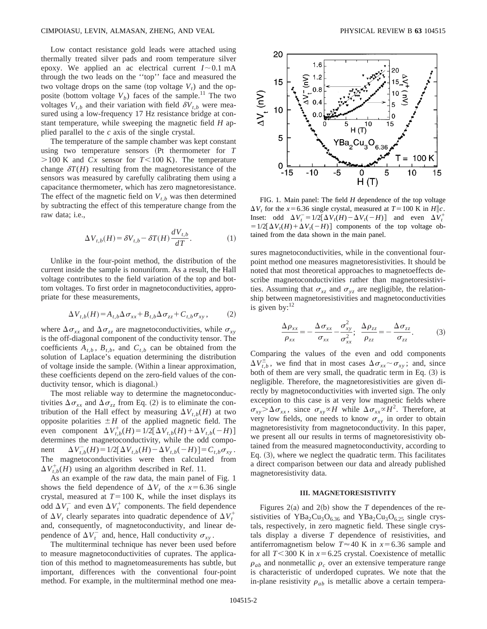Low contact resistance gold leads were attached using thermally treated silver pads and room temperature silver epoxy. We applied an ac electrical current  $I \sim 0.1$  mA through the two leads on the ''top'' face and measured the two voltage drops on the same (top voltage  $V_t$ ) and the opposite (bottom voltage  $V_b$ ) faces of the sample.<sup>11</sup> The two voltages  $V_{t,b}$  and their variation with field  $\delta V_{t,b}$  were measured using a low-frequency 17 Hz resistance bridge at constant temperature, while sweeping the magnetic field *H* applied parallel to the *c* axis of the single crystal.

The temperature of the sample chamber was kept constant using two temperature sensors (Pt thermometer for *T*  $>100$  K and *Cx* sensor for *T*<100 K). The temperature change  $\delta T(H)$  resulting from the magnetoresistance of the sensors was measured by carefully calibrating them using a capacitance thermometer, which has zero magnetoresistance. The effect of the magnetic field on  $V_{t,b}$  was then determined by subtracting the effect of this temperature change from the raw data; i.e.,

$$
\Delta V_{t,b}(H) = \delta V_{t,b} - \delta T(H) \frac{dV_{t,b}}{dT}.
$$
 (1)

Unlike in the four-point method, the distribution of the current inside the sample is nonuniform. As a result, the Hall voltage contributes to the field variation of the top and bottom voltages. To first order in magnetoconductivities, appropriate for these measurements,

$$
\Delta V_{t,b}(H) = A_{t,b}\Delta\sigma_{xx} + B_{t,b}\Delta\sigma_{zz} + C_{t,b}\sigma_{xy},\tag{2}
$$

where  $\Delta \sigma_{xx}$  and  $\Delta \sigma_{zz}$  are magnetoconductivities, while  $\sigma_{xy}$ is the off-diagonal component of the conductivity tensor. The coefficients  $A_{t,b}$ ,  $B_{t,b}$ , and  $C_{t,b}$  can be obtained from the solution of Laplace's equation determining the distribution of voltage inside the sample. (Within a linear approximation, these coefficients depend on the zero-field values of the conductivity tensor, which is diagonal.)

The most reliable way to determine the magnetoconductivities  $\Delta \sigma_{xx}$  and  $\Delta \sigma_{zz}$  from Eq. (2) is to eliminate the contribution of the Hall effect by measuring  $\Delta V_{t,b}(H)$  at two opposite polarities  $\pm H$  of the applied magnetic field. The even component  $\Delta V_{t,b}^+(H) = 1/2[\Delta V_{t,b}(H) + \Delta V_{t,b}(-H)]$ determines the magnetoconductivity, while the odd component  $\Delta V_{t,b}^{-}(H) = 1/2[\Delta V_{t,b}(H) - \Delta V_{t,b}(-H)] = C_{t,b}\sigma_{xy}$ . The magnetoconductivities were then calculated from  $\Delta V_{t,b}^+(H)$  using an algorithm described in Ref. 11.

As an example of the raw data, the main panel of Fig. 1 shows the field dependence of  $\Delta V_t$  of the  $x=6.36$  single crystal, measured at  $T=100$  K, while the inset displays its odd  $\Delta V_t^-$  and even  $\Delta V_t^+$  components. The field dependence of  $\Delta V_t$  clearly separates into quadratic dependence of  $\Delta V_t^+$ and, consequently, of magnetoconductivity, and linear dependence of  $\Delta V_t^-$  and, hence, Hall conductivity  $\sigma_{xy}$ .

The multiterminal technique has never been used before to measure magnetoconductivities of cuprates. The application of this method to magnetomeasurements has subtle, but important, differences with the conventional four-point method. For example, in the multiterminal method one mea-



FIG. 1. Main panel: The field *H* dependence of the top voltage  $\Delta V_t$  for the *x*=6.36 single crystal, measured at *T*=100 K in *H*||c. Inset: odd  $\Delta V_t^- = 1/2[\Delta V_t(H) - \Delta V_t(-H)]$  and even  $\Delta V_t^+$  $=1/2[\Delta V_t(H)+\Delta V_t(-H)]$  components of the top voltage obtained from the data shown in the main panel.

sures magnetoconductivities, while in the conventional fourpoint method one measures magnetoresistivities. It should be noted that most theoretical approaches to magnetoeffects describe magnetoconductivities rather than magnetoresistivities. Assuming that  $\sigma_{xz}$  and  $\sigma_{yz}$  are negligible, the relationship between magnetoresistivities and magnetoconductivities is given by: $^{12}$ 

$$
\frac{\Delta \rho_{xx}}{\rho_{xx}} = -\frac{\Delta \sigma_{xx}}{\sigma_{xx}} - \frac{\sigma_{xy}^2}{\sigma_{xx}^2}; \quad \frac{\Delta \rho_{zz}}{\rho_{zz}} = -\frac{\Delta \sigma_{zz}}{\sigma_{zz}}.
$$
 (3)

Comparing the values of the even and odd components  $\Delta V_{t,b}^{\pm}$ , we find that in most cases  $\Delta \sigma_{xx} \sim \sigma_{xy}$ ; and, since both of them are very small, the quadratic term in Eq.  $(3)$  is negligible. Therefore, the magnetoresistivities are given directly by magnetoconductivities with inverted sign. The only exception to this case is at very low magnetic fields where  $\sigma_{xy} > \Delta \sigma_{xx}$ , since  $\sigma_{xy} \propto H$  while  $\Delta \sigma_{xx} \propto H^2$ . Therefore, at very low fields, one needs to know  $\sigma_{xy}$  in order to obtain magnetoresistivity from magnetoconductivity. In this paper, we present all our results in terms of magnetoresistivity obtained from the measured magnetoconductivity, according to Eq.  $(3)$ , where we neglect the quadratic term. This facilitates a direct comparison between our data and already published magnetoresistivity data.

### **III. MAGNETORESISTIVITY**

Figures  $2(a)$  and  $2(b)$  show the *T* dependences of the resistivities of  $YBa_2Cu_3O_{6.36}$  and  $YBa_2Cu_3O_{6.25}$  single crystals, respectively, in zero magnetic field. These single crystals display a diverse *T* dependence of resistivities, and antiferromagnetism below  $T \approx 40$  K in  $x = 6.36$  sample and for all  $T$ <300 K in  $x$ =6.25 crystal. Coexistence of metallic  $\rho_{ab}$  and nonmetallic  $\rho_c$  over an extensive temperature range is characteristic of underdoped cuprates. We note that the in-plane resistivity  $\rho_{ab}$  is metallic above a certain tempera-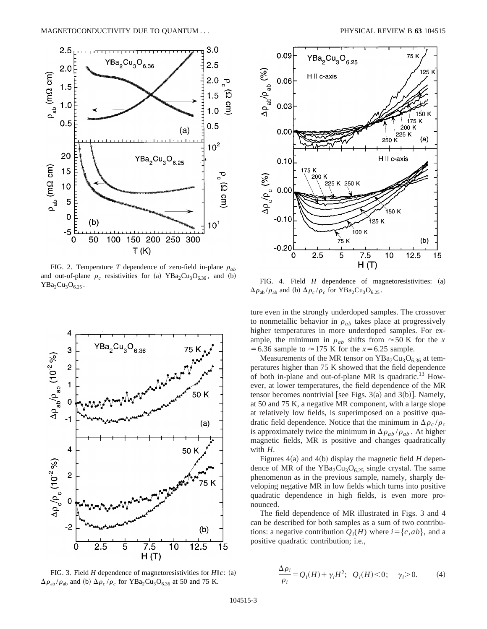

FIG. 2. Temperature *T* dependence of zero-field in-plane  $\rho_{ab}$ and out-of-plane  $\rho_c$  resistivities for (a) YBa<sub>2</sub>Cu<sub>3</sub>O<sub>6.36</sub>, and (b)  $YBa<sub>2</sub>Cu<sub>3</sub>O<sub>6.25</sub>$ .



FIG. 3. Field *H* dependence of magnetoresistivities for  $H||c$ : (a)  $\Delta \rho_{ab} / \rho_{ab}$  and (b)  $\Delta \rho_c / \rho_c$  for YBa<sub>2</sub>Cu<sub>3</sub>O<sub>6.36</sub> at 50 and 75 K.



FIG. 4. Field *H* dependence of magnetoresistivities: (a)  $\Delta \rho_{ab} / \rho_{ab}$  and (b)  $\Delta \rho_c / \rho_c$  for YBa<sub>2</sub>Cu<sub>3</sub>O<sub>6.25</sub>.

ture even in the strongly underdoped samples. The crossover to nonmetallic behavior in  $\rho_{ab}$  takes place at progressively higher temperatures in more underdoped samples. For example, the minimum in  $\rho_{ab}$  shifts from  $\approx$  50 K for the *x* = 6.36 sample to  $\approx$  175 K for the *x* = 6.25 sample.

Measurements of the MR tensor on  $YBa<sub>2</sub>Cu<sub>3</sub>O<sub>6.36</sub>$  at temperatures higher than 75 K showed that the field dependence of both in-plane and out-of-plane MR is quadratic.<sup>13</sup> However, at lower temperatures, the field dependence of the MR tensor becomes nontrivial [see Figs.  $3(a)$  and  $3(b)$ ]. Namely, at 50 and 75 K, a negative MR component, with a large slope at relatively low fields, is superimposed on a positive quadratic field dependence. Notice that the minimum in  $\Delta \rho_c / \rho_c$ is approximately twice the minimum in  $\Delta \rho_{ab} / \rho_{ab}$ . At higher magnetic fields, MR is positive and changes quadratically with *H*.

Figures  $4(a)$  and  $4(b)$  display the magnetic field *H* dependence of MR of the  $YBa<sub>2</sub>Cu<sub>3</sub>O<sub>6.25</sub>$  single crystal. The same phenomenon as in the previous sample, namely, sharply developing negative MR in low fields which turns into positive quadratic dependence in high fields, is even more pronounced.

The field dependence of MR illustrated in Figs. 3 and 4 can be described for both samples as a sum of two contributions: a negative contribution  $Q_i(H)$  where  $i = \{c, ab\}$ , and a positive quadratic contribution; i.e.,

$$
\frac{\Delta \rho_i}{\rho_i} = Q_i(H) + \gamma_i H^2; \quad Q_i(H) < 0; \quad \gamma_i > 0. \tag{4}
$$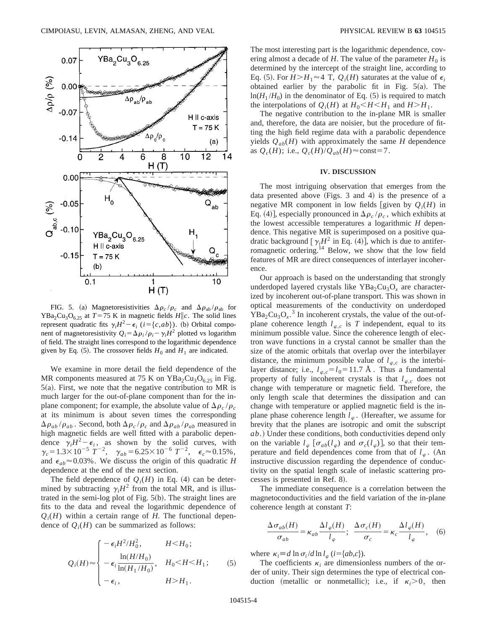

FIG. 5. (a) Magnetoresistivities  $\Delta \rho_c / \rho_c$  and  $\Delta \rho_{ab} / \rho_{ab}$  for  $YBa<sub>2</sub>Cu<sub>3</sub>O<sub>6.25</sub>$  at  $T=75$  K in magnetic fields  $H||c$ . The solid lines represent quadratic fits  $\gamma_i H^2 - \epsilon_i$  (*i*={*c*,*ab*}). (b) Orbital component of magnetoresistivity  $Q_i = \Delta \rho_i / \rho_i - \gamma_i H^2$  plotted vs logarithm of field. The straight lines correspond to the logarithmic dependence given by Eq. (5). The crossover fields  $H_0$  and  $H_1$  are indicated.

We examine in more detail the field dependence of the MR components measured at 75 K on  $YBa<sub>2</sub>Cu<sub>3</sub>O<sub>6.25</sub>$  in Fig.  $5(a)$ . First, we note that the negative contribution to MR is much larger for the out-of-plane component than for the inplane component; for example, the absolute value of  $\Delta \rho_c / \rho_c$ at its minimum is about seven times the corresponding  $\Delta\rho_{ab}/\rho_{ab}$ . Second, both  $\Delta\rho_c/\rho_c$  and  $\Delta\rho_{ab}/\rho_{ab}$  measured in high magnetic fields are well fitted with a parabolic dependence  $\gamma_i H^2 - \epsilon_i$ , as shown by the solid curves, with  $\gamma_c = 1.3 \times 10^{-5} \text{ T}^{-2}$ ,  $\gamma_{ab} = 6.25 \times 10^{-6} \text{ T}^{-2}$ ,  $\epsilon_c \approx 0.15\%$ , and  $\epsilon_{ab} \approx 0.03\%$ . We discuss the origin of this quadratic *H* dependence at the end of the next section.

The field dependence of  $Q_i(H)$  in Eq. (4) can be determined by subtracting  $\gamma_i H^2$  from the total MR, and is illustrated in the semi-log plot of Fig.  $5(b)$ . The straight lines are fits to the data and reveal the logarithmic dependence of  $Q_i(H)$  within a certain range of *H*. The functional dependence of  $Q_i(H)$  can be summarized as follows:

$$
Q_i(H) \approx \begin{cases} -\epsilon_i H^2 / H_0^2, & H < H_0; \\ -\epsilon_i \frac{\ln(H/H_0)}{\ln(H_1/H_0)}, & H_0 < H < H_1; \\ -\epsilon_i, & H > H_1. \end{cases}
$$
 (5)

The most interesting part is the logarithmic dependence, covering almost a decade of *H*. The value of the parameter  $H_0$  is determined by the intercept of the straight line, according to Eq. (5). For  $H > H_1 \approx 4$  T,  $Q_i(H)$  saturates at the value of  $\epsilon_i$ obtained earlier by the parabolic fit in Fig.  $5(a)$ . The  $ln(H_1/H_0)$  in the denominator of Eq. (5) is required to match the interpolations of  $Q_i(H)$  at  $H_0 \leq H \leq H_1$  and  $H \geq H_1$ .

The negative contribution to the in-plane MR is smaller and, therefore, the data are noisier, but the procedure of fitting the high field regime data with a parabolic dependence yields  $Q_{ab}(H)$  with approximately the same *H* dependence as  $Q_c(H)$ ; i.e.,  $Q_c(H)/Q_{ab}(H) \approx \text{const}=7$ .

#### **IV. DISCUSSION**

The most intriguing observation that emerges from the data presented above  $(Figs. 3$  and 4) is the presence of a negative MR component in low fields [given by  $Q_i(H)$  in Eq. (4)], especially pronounced in  $\Delta \rho_c / \rho_c$ , which exhibits at the lowest accessible temperatures a logarithmic *H* dependence. This negative MR is superimposed on a positive quadratic background  $[\gamma_i H^2$  in Eq. (4)], which is due to antiferromagnetic ordering.14 Below, we show that the low field features of MR are direct consequences of interlayer incoherence.

Our approach is based on the understanding that strongly underdoped layered crystals like  $YBa<sub>2</sub>Cu<sub>3</sub>O<sub>x</sub>$  are characterized by incoherent out-of-plane transport. This was shown in optical measurements of the conductivity on underdoped  $YBa<sub>2</sub>Cu<sub>3</sub>O<sub>x</sub>$ .<sup>3</sup> In incoherent crystals, the value of the out-ofplane coherence length  $l_{\varphi,c}$  is *T* independent, equal to its minimum possible value. Since the coherence length of electron wave functions in a crystal cannot be smaller than the size of the atomic orbitals that overlap over the interbilayer distance, the minimum possible value of  $l_{\varphi,c}$  is the interbilayer distance; i.e.,  $l_{\varphi,c} = l_0 = 11.7$  Å. Thus a fundamental property of fully incoherent crystals is that  $l_{\varphi,c}$  does not change with temperature or magnetic field. Therefore, the only length scale that determines the dissipation and can change with temperature or applied magnetic field is the inplane phase coherence length  $l_{\varphi}$ . (Hereafter, we assume for brevity that the planes are isotropic and omit the subscript *ab*.) Under these conditions, both conductivities depend only on the variable  $l_{\varphi}$  [ $\sigma_{ab}(l_{\varphi})$  and  $\sigma_c(l_{\varphi})$ ], so that their temperature and field dependences come from that of  $l_{\varphi}$ . (An instructive discussion regarding the dependence of conductivity on the spatial length scale of inelastic scattering processes is presented in Ref. 8).

The immediate consequence is a correlation between the magnetoconductivities and the field variation of the in-plane coherence length at constant *T*:

$$
\frac{\Delta \sigma_{ab}(H)}{\sigma_{ab}} = \kappa_{ab} \frac{\Delta l_{\varphi}(H)}{l_{\varphi}}; \ \ \frac{\Delta \sigma_c(H)}{\sigma_c} = \kappa_c \frac{\Delta l_{\varphi}(H)}{l_{\varphi}}, \ \ (6)
$$

where  $\kappa_i \equiv d \ln \sigma_i / d \ln l_\varphi$  (*i*={*ab*,*c*}).

The coefficients  $\kappa_i$  are dimensionless numbers of the order of unity. Their sign determines the type of electrical conduction (metallic or nonmetallic); i.e., if  $\kappa_i > 0$ , then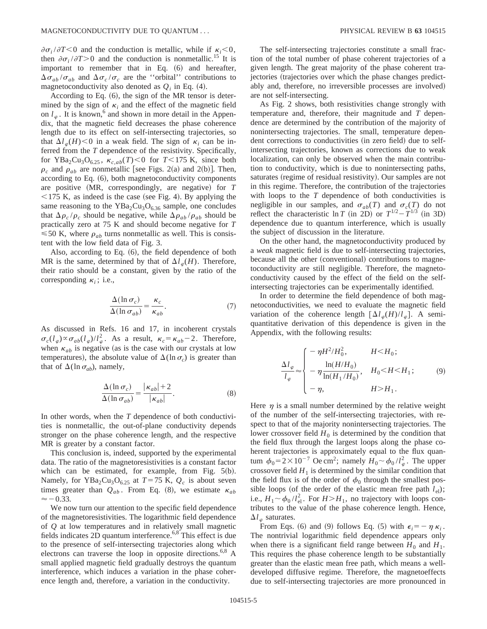$\partial \sigma_i / \partial T \leq 0$  and the conduction is metallic, while if  $\kappa_i \leq 0$ , then  $\partial \sigma_i / \partial T > 0$  and the conduction is nonmetallic.<sup>15</sup> It is important to remember that in Eq.  $(6)$  and hereafter,  $\Delta \sigma_{ab} / \sigma_{ab}$  and  $\Delta \sigma_c / \sigma_c$  are the "orbital" contributions to magnetoconductivity also denoted as  $Q_i$  in Eq. (4).

According to Eq.  $(6)$ , the sign of the MR tensor is determined by the sign of  $\kappa_i$  and the effect of the magnetic field on  $l_{\varphi}$ . It is known,<sup>6</sup> and shown in more detail in the Appendix, that the magnetic field decreases the phase coherence length due to its effect on self-intersecting trajectories, so that  $\Delta l_{\varphi}(H)$  < 0 in a weak field. The sign of  $\kappa_i$  can be inferred from the *T* dependence of the resistivity. Specifically, for YBa<sub>2</sub>Cu<sub>3</sub>O<sub>6.25</sub>,  $\kappa_{c,ab}(T)$  < 0 for  $T$  < 175 K, since both  $\rho_c$  and  $\rho_{ab}$  are nonmetallic [see Figs. 2(a) and 2(b)]. Then, according to Eq.  $(6)$ , both magnetoconductivity components are positive (MR, correspondingly, are negative) for *T*  $<$  175 K, as indeed is the case (see Fig. 4). By applying the same reasoning to the  $YBa<sub>2</sub>Cu<sub>3</sub>O<sub>6.36</sub>$  sample, one concludes that  $\Delta \rho_c / \rho_c$  should be negative, while  $\Delta \rho_{ab} / \rho_{ab}$  should be practically zero at 75 K and should become negative for *T*  $\leq 50$  K, where  $\rho_{ab}$  turns nonmetallic as well. This is consistent with the low field data of Fig. 3.

Also, according to Eq.  $(6)$ , the field dependence of both MR is the same, determined by that of  $\Delta l_{\varphi}(H)$ . Therefore, their ratio should be a constant, given by the ratio of the corresponding  $\kappa_i$ ; i.e.,

$$
\frac{\Delta(\ln \sigma_c)}{\Delta(\ln \sigma_{ab})} = \frac{\kappa_c}{\kappa_{ab}}.\tag{7}
$$

As discussed in Refs. 16 and 17, in incoherent crystals  $\sigma_c(l_\varphi) \propto \sigma_{ab}(l_\varphi)/l_\varphi^2$ . As a result,  $\kappa_c = \kappa_{ab} - 2$ . Therefore, when  $\kappa_{ab}$  is negative (as is the case with our crystals at low temperatures), the absolute value of  $\Delta(\ln \sigma_c)$  is greater than that of  $\Delta(\ln \sigma_{ab})$ , namely,

$$
\frac{\Delta(\ln \sigma_c)}{\Delta(\ln \sigma_{ab})} = \frac{|\kappa_{ab}| + 2}{|\kappa_{ab}|}.
$$
\n(8)

In other words, when the *T* dependence of both conductivities is nonmetallic, the out-of-plane conductivity depends stronger on the phase coherence length, and the respective MR is greater by a constant factor.

This conclusion is, indeed, supported by the experimental data. The ratio of the magnetoresistivities is a constant factor which can be estimated, for example, from Fig.  $5(b)$ . Namely, for YBa<sub>2</sub>Cu<sub>3</sub>O<sub>6.25</sub> at *T*=75 K,  $Q_c$  is about seven times greater than  $Q_{ab}$ . From Eq. (8), we estimate  $\kappa_{ab}$  $\approx$  -0.33.

We now turn our attention to the specific field dependence of the magnetoresistivities. The logarithmic field dependence of *Q* at low temperatures and in relatively small magnetic fields indicates 2D quantum interference.6,8 This effect is due to the presence of self-intersecting trajectories along which electrons can traverse the loop in opposite directions.<sup>6,8</sup> A small applied magnetic field gradually destroys the quantum interference, which induces a variation in the phase coherence length and, therefore, a variation in the conductivity.

The self-intersecting trajectories constitute a small fraction of the total number of phase coherent trajectories of a given length. The great majority of the phase coherent trajectories (trajectories over which the phase changes predictably and, therefore, no irreversible processes are involved) are not self-intersecting.

As Fig. 2 shows, both resistivities change strongly with temperature and, therefore, their magnitude and *T* dependence are determined by the contribution of the majority of nonintersecting trajectories. The small, temperature dependent corrections to conductivities (in zero field) due to selfintersecting trajectories, known as corrections due to weak localization, can only be observed when the main contribution to conductivity, which is due to nonintersecting paths, saturates (regime of residual resistivity). Our samples are not in this regime. Therefore, the contribution of the trajectories with loops to the *T* dependence of both conductivities is negligible in our samples, and  $\sigma_{ab}(T)$  and  $\sigma_c(T)$  do not reflect the characteristic ln *T* (in 2D) or  $T^{1/2}-T^{1/3}$  (in 3D) dependence due to quantum interference, which is usually the subject of discussion in the literature.

On the other hand, the magnetoconductivity produced by a *weak* magnetic field is due to self-intersecting trajectories, because all the other (conventional) contributions to magnetoconductivity are still negligible. Therefore, the magnetoconductivity caused by the effect of the field on the selfintersecting trajectories can be experimentally identified.

In order to determine the field dependence of both magnetoconductivities, we need to evaluate the magnetic field variation of the coherence length  $\left[\Delta l_{\varphi}(H)/l_{\varphi}\right]$ . A semiquantitative derivation of this dependence is given in the Appendix, with the following results:

$$
\frac{\Delta l_{\varphi}}{l_{\varphi}} \approx \begin{cases}\n-\eta H^2 / H_0^2, & H < H_0; \\
-\eta \frac{\ln(H/H_0)}{\ln(H_1/H_0)}, & H_0 < H < H_1; \\
-\eta, & H > H_1.\n\end{cases}
$$
\n(9)

Here  $\eta$  is a small number determined by the relative weight of the number of the self-intersecting trajectories, with respect to that of the majority nonintersecting trajectories. The lower crossover field  $H_0$  is determined by the condition that the field flux through the largest loops along the phase coherent trajectories is approximately equal to the flux quantum  $\phi_0 = 2 \times 10^{-7}$  Oe cm<sup>2</sup>; namely  $H_0 \sim \phi_0 / l_\varphi^2$ . The upper crossover field  $H_1$  is determined by the similar condition that the field flux is of the order of  $\phi_0$  through the smallest possible loops (of the order of the elastic mean free path  $l_{el}$ ); i.e.,  $H_1 \sim \phi_0 / l_{\text{el}}^2$ . For  $H > H_1$ , no trajectory with loops contributes to the value of the phase coherence length. Hence,  $\Delta l_{\infty}$  saturates.

From Eqs. (6) and (9) follows Eq. (5) with  $\epsilon_i = -\eta \kappa_i$ . The nontrivial logarithmic field dependence appears only when there is a significant field range between  $H_0$  and  $H_1$ . This requires the phase coherence length to be substantially greater than the elastic mean free path, which means a welldeveloped diffusive regime. Therefore, the magnetoeffects due to self-intersecting trajectories are more pronounced in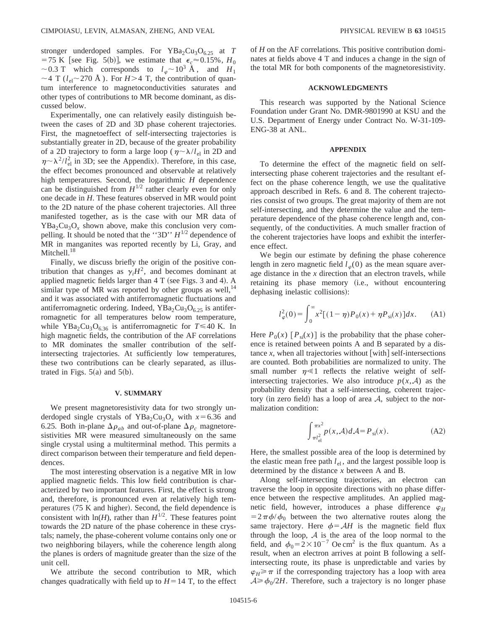stronger underdoped samples. For YBa<sub>2</sub>Cu<sub>3</sub>O<sub>6.25</sub> at *T* =75 K [see Fig. 5(b)], we estimate that  $\epsilon_c \approx 0.15\%$ , *H*<sub>0</sub>  $\sim$  0.3 T which corresponds to  $l_{\varphi}$   $\sim$  10<sup>3</sup> Å, and  $H_1$  $\sim$  4 T ( $l_{el}$  $\sim$  270 Å). For *H*>4 T, the contribution of quantum interference to magnetoconductivities saturates and other types of contributions to MR become dominant, as discussed below.

Experimentally, one can relatively easily distinguish between the cases of 2D and 3D phase coherent trajectories. First, the magnetoeffect of self-intersecting trajectories is substantially greater in 2D, because of the greater probability of a 2D trajectory to form a large loop ( $\eta \sim \lambda / l_{el}$  in 2D and  $\eta \sim \lambda^2/l_{\text{el}}^2$  in 3D; see the Appendix). Therefore, in this case, the effect becomes pronounced and observable at relatively high temperatures. Second, the logarithmic *H* dependence can be distinguished from  $H^{1/2}$  rather clearly even for only one decade in *H*. These features observed in MR would point to the 2D nature of the phase coherent trajectories. All three manifested together, as is the case with our MR data of  $YBa<sub>2</sub>Cu<sub>3</sub>O<sub>x</sub>$  shown above, make this conclusion very compelling. It should be noted that the ''3D'' *H*1/2 dependence of MR in manganites was reported recently by Li, Gray, and Mitchell.<sup>18</sup>

Finally, we discuss briefly the origin of the positive contribution that changes as  $\gamma_i H^2$ , and becomes dominant at applied magnetic fields larger than  $4 T$  (see Figs. 3 and 4). A similar type of MR was reported by other groups as well, $^{14}$ and it was associated with antiferromagnetic fluctuations and antiferromagnetic ordering. Indeed,  $YBa<sub>2</sub>Cu<sub>3</sub>O<sub>6.25</sub>$  is antiferromagnetic for all temperatures below room temperature, while YBa<sub>2</sub>Cu<sub>3</sub>O<sub>6.36</sub> is antiferromagnetic for  $T \le 40$  K. In high magnetic fields, the contribution of the AF correlations to MR dominates the smaller contribution of the selfintersecting trajectories. At sufficiently low temperatures, these two contributions can be clearly separated, as illustrated in Figs.  $5(a)$  and  $5(b)$ .

### **V. SUMMARY**

We present magnetoresistivity data for two strongly underdoped single crystals of YBa<sub>2</sub>Cu<sub>3</sub>O<sub>x</sub> with  $x=6.36$  and 6.25. Both in-plane  $\Delta \rho_{ab}$  and out-of-plane  $\Delta \rho_c$  magnetoresistivities MR were measured simultaneously on the same single crystal using a multiterminal method. This permits a direct comparison between their temperature and field dependences.

The most interesting observation is a negative MR in low applied magnetic fields. This low field contribution is characterized by two important features. First, the effect is strong and, therefore, is pronounced even at relatively high temperatures  $(75 K and higher)$ . Second, the field dependence is consistent with  $ln(H)$ , rather than  $H^{1/2}$ . These features point towards the 2D nature of the phase coherence in these crystals; namely, the phase-coherent volume contains only one or two neighboring bilayers, while the coherence length along the planes is orders of magnitude greater than the size of the unit cell.

We attribute the second contribution to MR, which changes quadratically with field up to  $H=14$  T, to the effect of *H* on the AF correlations. This positive contribution dominates at fields above 4 T and induces a change in the sign of the total MR for both components of the magnetoresistivity.

### **ACKNOWLEDGMENTS**

This research was supported by the National Science Foundation under Grant No. DMR-9801990 at KSU and the U.S. Department of Energy under Contract No. W-31-109- ENG-38 at ANL.

## **APPENDIX**

To determine the effect of the magnetic field on selfintersecting phase coherent trajectories and the resultant effect on the phase coherence length, we use the qualitative approach described in Refs. 6 and 8. The coherent trajectories consist of two groups. The great majority of them are not self-intersecting, and they determine the value and the temperature dependence of the phase coherence length and, consequently, of the conductivities. A much smaller fraction of the coherent trajectories have loops and exhibit the interference effect.

We begin our estimate by defining the phase coherence length in zero magnetic field  $l_{\varphi}(0)$  as the mean square average distance in the *x* direction that an electron travels, while retaining its phase memory (i.e., without encountering dephasing inelastic collisions):

$$
l_{\varphi}^{2}(0) = \int_{0}^{\infty} x^{2} [(1 - \eta)P_{0}(x) + \eta P_{\text{si}}(x)] dx.
$$
 (A1)

Here  $P_0(x)$   $[P_{si}(x)]$  is the probability that the phase coherence is retained between points A and B separated by a distance  $x$ , when all trajectories without [with] self-intersections are counted. Both probabilities are normalized to unity. The small number  $\eta \ll 1$  reflects the relative weight of selfintersecting trajectories. We also introduce  $p(x, A)$  as the probability density that a self-intersecting, coherent trajectory (in zero field) has a loop of area  $A$ , subject to the normalization condition:

$$
\int_{\pi l_{\text{el}}^2}^{\pi x^2} p(x, \mathcal{A}) d\mathcal{A} = P_{\text{si}}(x). \tag{A2}
$$

Here, the smallest possible area of the loop is determined by the elastic mean free path  $l_{el}$ , and the largest possible loop is determined by the distance *x* between A and B.

Along self-intersecting trajectories, an electron can traverse the loop in opposite directions with no phase difference between the respective amplitudes. An applied magnetic field, however, introduces a phase difference  $\varphi$ <sup>*H*</sup>  $=2\pi\phi/\phi_0$  between the two alternative routes along the same trajectory. Here  $\phi = AH$  is the magnetic field flux through the loop,  $A$  is the area of the loop normal to the field, and  $\phi_0 = 2 \times 10^{-7}$  Oe cm<sup>2</sup> is the flux quantum. As a result, when an electron arrives at point B following a selfintersecting route, its phase is unpredictable and varies by  $\varphi_H \geq \pi$  if the corresponding trajectory has a loop with area  $A \ge \phi_0/2H$ . Therefore, such a trajectory is no longer phase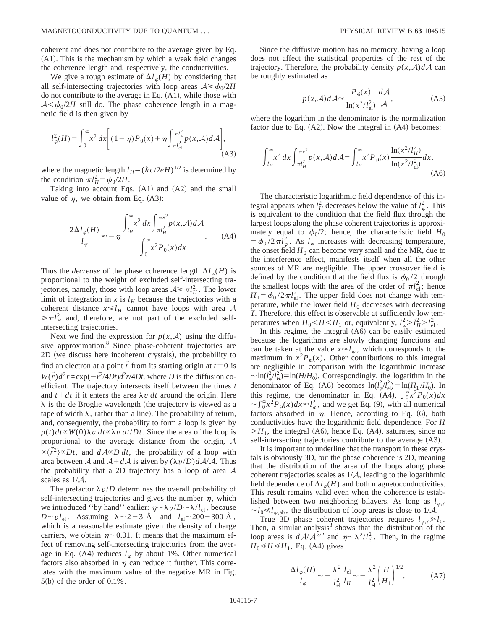coherent and does not contribute to the average given by Eq.  $(A1)$ . This is the mechanism by which a weak field changes the coherence length and, respectively, the conductivities.

We give a rough estimate of  $\Delta l_{\varphi}(H)$  by considering that all self-intersecting trajectories with loop areas  $A \ge \phi_0/2H$ do not contribute to the average in Eq.  $(A1)$ , while those with  $A < \phi_0/2H$  still do. The phase coherence length in a magnetic field is then given by

$$
l_{\varphi}^{2}(H) = \int_{0}^{\infty} x^{2} dx \bigg[ (1 - \eta) P_{0}(x) + \eta \int_{\pi l_{\text{el}}^{2}}^{\pi l_{H}^{2}} p(x, \mathcal{A}) d\mathcal{A} \bigg],
$$
\n(A3)

where the magnetic length  $l_H = (\hbar c/2eH)^{1/2}$  is determined by the condition  $\pi l_H^2 = \phi_0 / 2H$ .

Taking into account Eqs.  $(A1)$  and  $(A2)$  and the small value of  $\eta$ , we obtain from Eq. (A3):

$$
\frac{2\Delta l_{\varphi}(H)}{l_{\varphi}} \approx -\eta \frac{\int_{l_H}^{\infty} x^2 dx \int_{\pi l_H^2}^{\pi x^2} p(x, \mathcal{A}) d\mathcal{A}}{\int_0^{\infty} x^2 P_0(x) dx}.
$$
 (A4)

Thus the *decrease* of the phase coherence length  $\Delta l_{\varphi}(H)$  is proportional to the weight of excluded self-intersecting trajectories, namely, those with loop areas  $A \ge \pi l_H^2$ . The lower limit of integration in  $x$  is  $l_H$  because the trajectories with a coherent distance  $x \le l_H$  cannot have loops with area A  $\geq \pi l_H^2$  and, therefore, are not part of the excluded selfintersecting trajectories.

Next we find the expression for  $p(x, A)$  using the diffusive approximation.<sup>8</sup> Since phase-coherent trajectories are 2D (we discuss here incoherent crystals), the probability to find an electron at a point  $\vec{r}$  from its starting origin at  $t=0$  is  $W(\vec{r})d^2r \propto \exp(-\vec{r}^2/4Dt)d^2r/4Dt$ , where *D* is the diffusion coefficient. The trajectory intersects itself between the times *t* and  $t + dt$  if it enters the area  $\lambda v$  *dt* around the origin. Here  $\lambda$  is the de Broglie wavelength (the trajectory is viewed as a tape of width  $\lambda$ , rather than a line). The probability of return, and, consequently, the probability to form a loop is given by  $p(t)dt \propto W(0)\lambda v \, dt \propto \lambda v \, dt/Dt$ . Since the area of the loop is proportional to the average distance from the origin, A  $\propto \langle \vec{r}^2 \rangle \propto Dt$ , and  $dA \propto D dt$ , the probability of a loop with area between A and  $A + dA$  is given by  $(\lambda v/D) dA/A$ . Thus the probability that a 2D trajectory has a loop of area  $A$ scales as 1/A.

The prefactor  $\lambda v/D$  determines the overall probability of self-intersecting trajectories and gives the number  $\eta$ , which we introduced "by hand" earlier:  $\eta \sim \lambda v/D \sim \lambda / l_{el}$ , because  $D \sim v l_{\text{el}}$ . Assuming  $\lambda \sim 2-3$  Å and  $l_{\text{el}} \sim 200-300$  Å , which is a reasonable estimate given the density of charge carriers, we obtain  $\eta$ ~0.01. It means that the maximum effect of removing self-intersecting trajectories from the average in Eq. (A4) reduces  $l_{\varphi}$  by about 1%. Other numerical factors also absorbed in  $\eta$  can reduce it further. This correlates with the maximum value of the negative MR in Fig.  $5(b)$  of the order of  $0.1\%$ .

Since the diffusive motion has no memory, having a loop does not affect the statistical properties of the rest of the trajectory. Therefore, the probability density  $p(x, A)dA$  can be roughly estimated as

$$
p(x, \mathcal{A})d\mathcal{A} \approx \frac{P_{\rm si}(x)}{\ln(x^2/l_{\rm el}^2)} \frac{d\mathcal{A}}{\mathcal{A}},\tag{A5}
$$

where the logarithm in the denominator is the normalization factor due to Eq.  $(A2)$ . Now the integral in  $(A4)$  becomes:

$$
\int_{l_H}^{\infty} x^2 dx \int_{\pi l_H^2}^{\pi x^2} p(x, \mathcal{A}) d\mathcal{A} = \int_{l_H}^{\infty} x^2 P_{\text{si}}(x) \frac{\ln(x^2 / l_H^2)}{\ln(x^2 / l_{\text{el}}^2)} dx.
$$
\n(A6)

The characteristic logarithmic field dependence of this integral appears when  $l_H^2$  decreases below the value of  $l_\varphi^2$ . This is equivalent to the condition that the field flux through the largest loops along the phase coherent trajectories is approximately equal to  $\phi_0/2$ ; hence, the characteristic field  $H_0$  $= \phi_0 / 2 \pi l_\varphi^2$ . As  $l_\varphi$  increases with decreasing temperature, the onset field  $H_0$  can become very small and the MR, due to the interference effect, manifests itself when all the other sources of MR are negligible. The upper crossover field is defined by the condition that the field flux is  $\phi_0 / 2$  through the smallest loops with the area of the order of  $\pi l_{el}^2$ ; hence  $H_1 = \phi_0 / 2 \pi l_{\text{el}}^2$ . The upper field does not change with temperature, while the lower field  $H_0$  decreases with decreasing *T*. Therefore, this effect is observable at sufficiently low temperatures when  $H_0 < H < H_1$  or, equivalently,  $l_{\varphi}^2 > l_H^2 > l_{\text{el}}^2$ .

In this regime, the integral  $(A6)$  can be easily estimated because the logarithms are slowly changing functions and can be taken at the value  $x \approx l_{\varphi}$ , which corresponds to the maximum in  $x^2 P_{si}(x)$ . Other contributions to this integral are negligible in comparison with the logarithmic increase  $\sim \ln(l_{\varphi}^{2}/l_{H}^{2}) = \ln(H/H_{0})$ . Correspondingly, the logarithm in the denominator of Eq. (A6) becomes  $\ln(l_{\varphi}^2/l_{\text{el}}^2) = \ln(H_1/H_0)$ . In this regime, the denominator in Eq. (A4),  $\int_0^\infty x^2 P_0(x) dx$  $\sim \int_{0}^{\infty} x^{2} P_{\text{si}}(x) dx \approx l_{\varphi}^{2}$ , and we get Eq. (9), with all numerical factors absorbed in  $\eta$ . Hence, according to Eq. (6), both conductivities have the logarithmic field dependence. For *H*  $>H_1$ , the integral (A6), hence Eq. (A4), saturates, since no self-intersecting trajectories contribute to the average  $(A3)$ .

It is important to underline that the transport in these crystals is obviously 3D, but the phase coherence is 2D, meaning that the distribution of the area of the loops along phase coherent trajectories scales as  $1/\mathcal{A}$ , leading to the logarithmic field dependence of  $\Delta l_{\phi}(H)$  and both magnetoconductivities. This result remains valid even when the coherence is established between two neighboring bilayers. As long as  $l_{\varphi,c}$  $\sim l_0 \ll l_{\varphi,ab}$ , the distribution of loop areas is close to 1/A.

True 3D phase coherent trajectories requires  $l_{\varphi,c} \gg l_0$ . Then, a similar analysis $8$  shows that the distribution of the loop areas is  $d\mathcal{A}/\mathcal{A}^{3/2}$  and  $\eta \sim \lambda^2/l_{\text{el}}^2$ . Then, in the regime  $H_0 \leq H \leq H_1$ , Eq. (A4) gives

$$
\frac{\Delta l_{\varphi}(H)}{l_{\varphi}} \sim -\frac{\lambda^2}{l_{\text{el}}^2} \frac{l_{\text{el}}}{l_H} \sim -\frac{\lambda^2}{l_{\text{el}}^2} \left(\frac{H}{H_1}\right)^{1/2}.\tag{A7}
$$